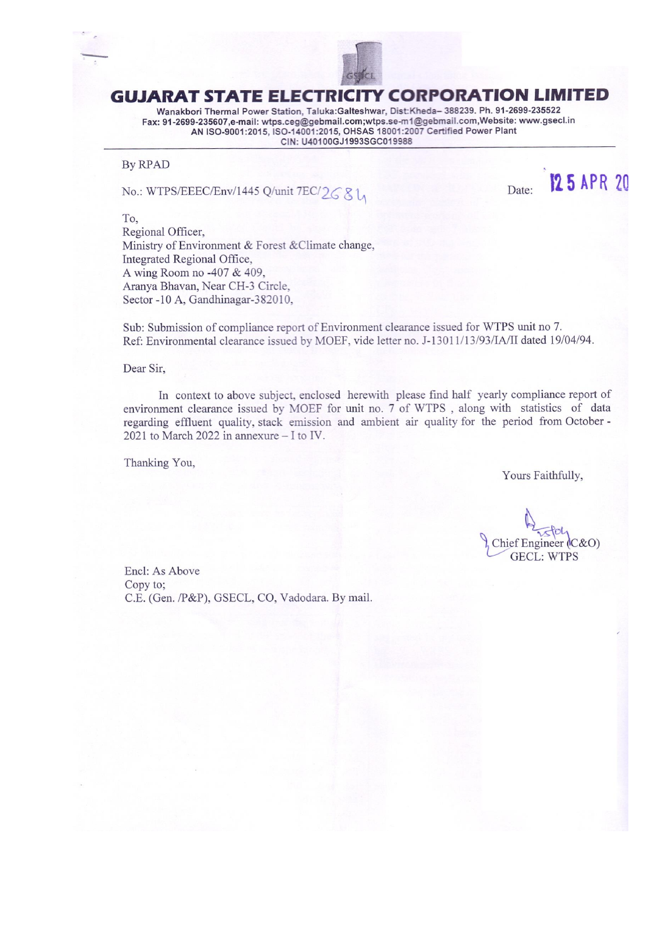

## **GUJARAT STATE ELECTRICITY CORPORATION LIMITED**

Wanakbori Thermal Power Station, Taluka:Galteshwar, Dist:Kheda-388239. Ph. 91-2699-235522 Fax: 91-2699-235607,e-mail: wtps.ceg@gebmail.com;wtps.se-m1@gebmail.com,Website: www.gsecl.in<br>AN ISO-9001:2015, ISO-14001:2015, OHSAS 18001:2007 Certified Power Plant CIN: U40100GJ1993SGC019988

#### **By RPAD**

No.: WTPS/EEEC/Env/1445 Q/unit 7EC/26 & L

Date:



To. Regional Officer, Ministry of Environment & Forest & Climate change, Integrated Regional Office, A wing Room no -407 & 409, Aranya Bhavan, Near CH-3 Circle, Sector -10 A, Gandhinagar-382010,

Sub: Submission of compliance report of Environment clearance issued for WTPS unit no 7. Ref: Environmental clearance issued by MOEF, vide letter no. J-13011/13/93/IA/II dated 19/04/94.

#### Dear Sir,

In context to above subject, enclosed herewith please find half yearly compliance report of environment clearance issued by MOEF for unit no. 7 of WTPS, along with statistics of data regarding effluent quality, stack emission and ambient air quality for the period from October -2021 to March 2022 in annexure - I to IV.

Thanking You,

Yours Faithfully,

Chief Engineer  $(C & O)$ **GECL: WTPS** 

Encl: As Above Copy to; C.E. (Gen. /P&P), GSECL, CO, Vadodara. By mail.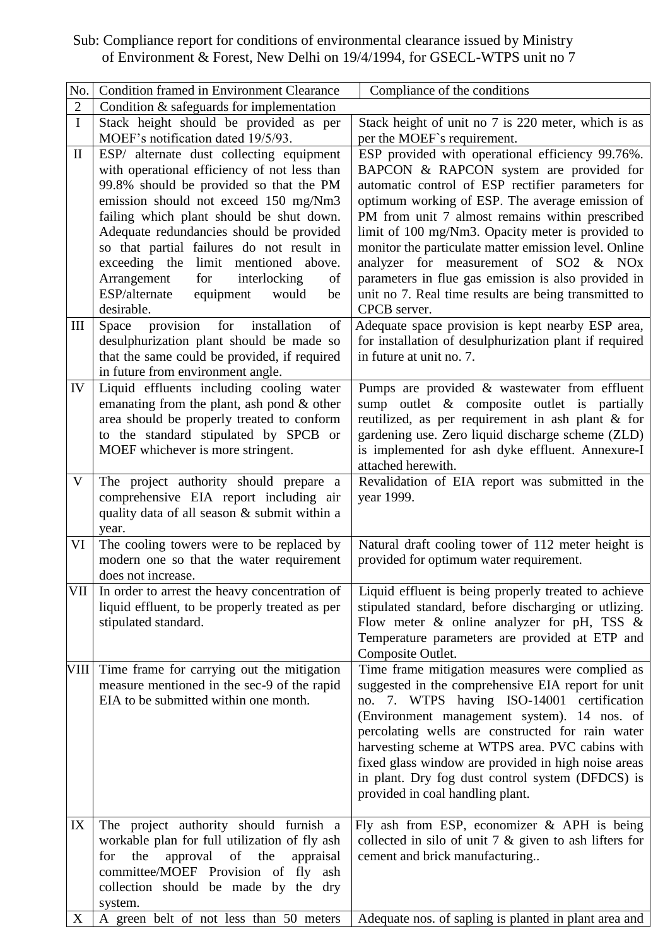Sub: Compliance report for conditions of environmental clearance issued by Ministry of Environment & Forest, New Delhi on 19/4/1994, for GSECL-WTPS unit no 7

| No.                 | <b>Condition framed in Environment Clearance</b>                                                                                                                                                                                                                                                                                                                                                                                                                                                                                                                   | Compliance of the conditions                                                                                                                                                                                                                                                                                                                                                                                                                                                                                                                                                                                                                                                             |
|---------------------|--------------------------------------------------------------------------------------------------------------------------------------------------------------------------------------------------------------------------------------------------------------------------------------------------------------------------------------------------------------------------------------------------------------------------------------------------------------------------------------------------------------------------------------------------------------------|------------------------------------------------------------------------------------------------------------------------------------------------------------------------------------------------------------------------------------------------------------------------------------------------------------------------------------------------------------------------------------------------------------------------------------------------------------------------------------------------------------------------------------------------------------------------------------------------------------------------------------------------------------------------------------------|
| $\mathbf{2}$        | Condition $&$ safeguards for implementation                                                                                                                                                                                                                                                                                                                                                                                                                                                                                                                        |                                                                                                                                                                                                                                                                                                                                                                                                                                                                                                                                                                                                                                                                                          |
| $\bf I$             | Stack height should be provided as per<br>MOEF's notification dated 19/5/93.                                                                                                                                                                                                                                                                                                                                                                                                                                                                                       | Stack height of unit no 7 is 220 meter, which is as<br>per the MOEF's requirement.                                                                                                                                                                                                                                                                                                                                                                                                                                                                                                                                                                                                       |
| $\mathbf{I}$<br>III | ESP/ alternate dust collecting equipment<br>with operational efficiency of not less than<br>99.8% should be provided so that the PM<br>emission should not exceed 150 mg/Nm3<br>failing which plant should be shut down.<br>Adequate redundancies should be provided<br>so that partial failures do not result in<br>limit<br>exceeding the<br>mentioned above.<br>for<br>Arrangement<br>interlocking<br>of<br>ESP/alternate<br>equipment<br>would<br>be<br>desirable.<br>provision for<br>installation<br>Space<br>of<br>desulphurization plant should be made so | ESP provided with operational efficiency 99.76%.<br>BAPCON & RAPCON system are provided for<br>automatic control of ESP rectifier parameters for<br>optimum working of ESP. The average emission of<br>PM from unit 7 almost remains within prescribed<br>limit of 100 mg/Nm3. Opacity meter is provided to<br>monitor the particulate matter emission level. Online<br>analyzer for measurement of SO2 & NOx<br>parameters in flue gas emission is also provided in<br>unit no 7. Real time results are being transmitted to<br>CPCB server.<br>Adequate space provision is kept nearby ESP area,<br>for installation of desulphurization plant if required<br>in future at unit no. 7. |
|                     | that the same could be provided, if required<br>in future from environment angle.                                                                                                                                                                                                                                                                                                                                                                                                                                                                                  |                                                                                                                                                                                                                                                                                                                                                                                                                                                                                                                                                                                                                                                                                          |
| IV<br>$\mathbf V$   | Liquid effluents including cooling water<br>emanating from the plant, ash pond $\&$ other<br>area should be properly treated to conform<br>to the standard stipulated by SPCB or<br>MOEF whichever is more stringent.<br>The project authority should prepare a                                                                                                                                                                                                                                                                                                    | Pumps are provided & wastewater from effluent<br>sump outlet & composite outlet is partially<br>reutilized, as per requirement in ash plant & for<br>gardening use. Zero liquid discharge scheme (ZLD)<br>is implemented for ash dyke effluent. Annexure-I<br>attached herewith.<br>Revalidation of EIA report was submitted in the                                                                                                                                                                                                                                                                                                                                                      |
|                     | comprehensive EIA report including air<br>quality data of all season & submit within a<br>year.                                                                                                                                                                                                                                                                                                                                                                                                                                                                    | year 1999.                                                                                                                                                                                                                                                                                                                                                                                                                                                                                                                                                                                                                                                                               |
| VI                  | The cooling towers were to be replaced by<br>modern one so that the water requirement<br>does not increase.                                                                                                                                                                                                                                                                                                                                                                                                                                                        | Natural draft cooling tower of 112 meter height is<br>provided for optimum water requirement.                                                                                                                                                                                                                                                                                                                                                                                                                                                                                                                                                                                            |
| VII                 | In order to arrest the heavy concentration of<br>liquid effluent, to be properly treated as per<br>stipulated standard.                                                                                                                                                                                                                                                                                                                                                                                                                                            | Liquid effluent is being properly treated to achieve<br>stipulated standard, before discharging or utlizing.<br>Flow meter $\&$ online analyzer for pH, TSS $\&$<br>Temperature parameters are provided at ETP and<br>Composite Outlet.                                                                                                                                                                                                                                                                                                                                                                                                                                                  |
|                     | VIII Time frame for carrying out the mitigation<br>measure mentioned in the sec-9 of the rapid<br>EIA to be submitted within one month.                                                                                                                                                                                                                                                                                                                                                                                                                            | Time frame mitigation measures were complied as<br>suggested in the comprehensive EIA report for unit<br>no. 7. WTPS having ISO-14001 certification<br>(Environment management system). 14 nos. of<br>percolating wells are constructed for rain water<br>harvesting scheme at WTPS area. PVC cabins with<br>fixed glass window are provided in high noise areas<br>in plant. Dry fog dust control system (DFDCS) is<br>provided in coal handling plant.                                                                                                                                                                                                                                 |
| IX                  | The project authority should furnish a<br>workable plan for full utilization of fly ash<br>approval<br>appraisal<br>the<br>of<br>the<br>for<br>committee/MOEF Provision of fly ash<br>collection should be made by the dry<br>system.                                                                                                                                                                                                                                                                                                                              | Fly ash from ESP, economizer $\&$ APH is being<br>collected in silo of unit $7 \&$ given to ash lifters for<br>cement and brick manufacturing                                                                                                                                                                                                                                                                                                                                                                                                                                                                                                                                            |
| $X_{\mathcal{I}}$   | A green belt of not less than 50 meters                                                                                                                                                                                                                                                                                                                                                                                                                                                                                                                            | Adequate nos. of sapling is planted in plant area and                                                                                                                                                                                                                                                                                                                                                                                                                                                                                                                                                                                                                                    |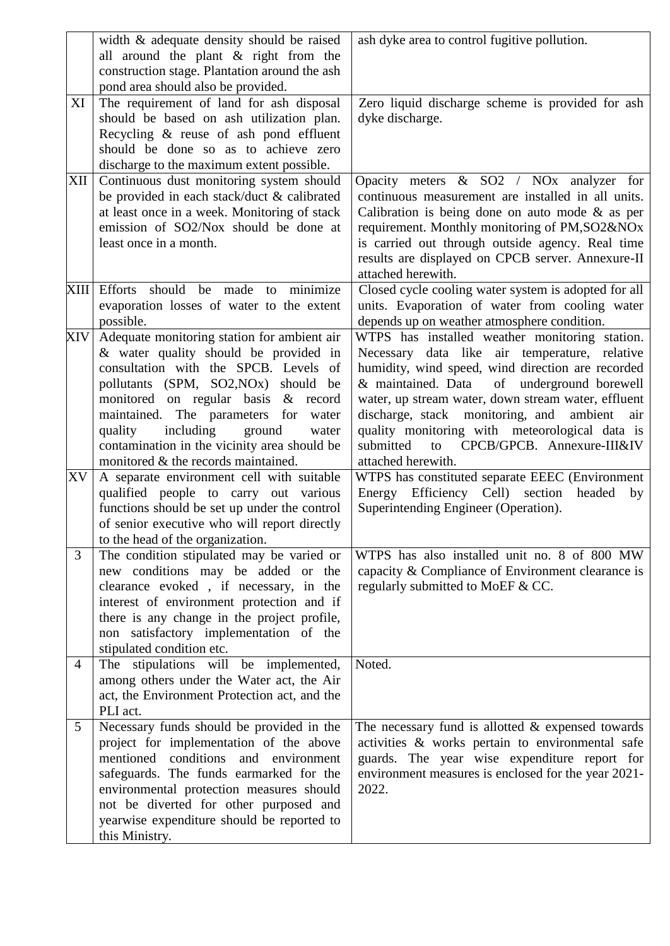|                | width & adequate density should be raised<br>all around the plant & right from the<br>construction stage. Plantation around the ash                                                                                                                                                                                                                                                                                                                                                                                                                                                                                                                                                                                                                                                                                                                    | ash dyke area to control fugitive pollution.                                                                                                                                                                                                                                                                                                                                                                                                                                                                                                                                                                                                                                                                                           |
|----------------|--------------------------------------------------------------------------------------------------------------------------------------------------------------------------------------------------------------------------------------------------------------------------------------------------------------------------------------------------------------------------------------------------------------------------------------------------------------------------------------------------------------------------------------------------------------------------------------------------------------------------------------------------------------------------------------------------------------------------------------------------------------------------------------------------------------------------------------------------------|----------------------------------------------------------------------------------------------------------------------------------------------------------------------------------------------------------------------------------------------------------------------------------------------------------------------------------------------------------------------------------------------------------------------------------------------------------------------------------------------------------------------------------------------------------------------------------------------------------------------------------------------------------------------------------------------------------------------------------------|
| XI             | pond area should also be provided.<br>The requirement of land for ash disposal<br>should be based on ash utilization plan.<br>Recycling & reuse of ash pond effluent<br>should be done so as to achieve zero<br>discharge to the maximum extent possible.                                                                                                                                                                                                                                                                                                                                                                                                                                                                                                                                                                                              | Zero liquid discharge scheme is provided for ash<br>dyke discharge.                                                                                                                                                                                                                                                                                                                                                                                                                                                                                                                                                                                                                                                                    |
| XII            | Continuous dust monitoring system should<br>be provided in each stack/duct & calibrated<br>at least once in a week. Monitoring of stack<br>emission of SO2/Nox should be done at<br>least once in a month.                                                                                                                                                                                                                                                                                                                                                                                                                                                                                                                                                                                                                                             | Opacity meters $\&$ SO2 / NO <sub>x</sub> analyzer for<br>continuous measurement are installed in all units.<br>Calibration is being done on auto mode $\&$ as per<br>requirement. Monthly monitoring of PM, SO2&NOx<br>is carried out through outside agency. Real time<br>results are displayed on CPCB server. Annexure-II<br>attached herewith.                                                                                                                                                                                                                                                                                                                                                                                    |
| XIII           | <b>Efforts</b><br>should<br>be<br>minimize<br>made<br>to<br>evaporation losses of water to the extent<br>possible.                                                                                                                                                                                                                                                                                                                                                                                                                                                                                                                                                                                                                                                                                                                                     | Closed cycle cooling water system is adopted for all<br>units. Evaporation of water from cooling water<br>depends up on weather atmosphere condition.                                                                                                                                                                                                                                                                                                                                                                                                                                                                                                                                                                                  |
| XIV<br>XV<br>3 | Adequate monitoring station for ambient air<br>& water quality should be provided in<br>consultation with the SPCB. Levels of<br>pollutants (SPM, SO2, NO <sub>x</sub> ) should be<br>monitored on regular basis & record<br>maintained. The parameters for water<br>including<br>ground<br>quality<br>water<br>contamination in the vicinity area should be<br>monitored & the records maintained.<br>A separate environment cell with suitable<br>qualified people to carry out various<br>functions should be set up under the control<br>of senior executive who will report directly<br>to the head of the organization.<br>The condition stipulated may be varied or<br>new conditions may be added or the<br>clearance evoked, if necessary, in the<br>interest of environment protection and if<br>there is any change in the project profile, | WTPS has installed weather monitoring station.<br>Necessary data like air temperature, relative<br>humidity, wind speed, wind direction are recorded<br>& maintained. Data<br>of underground borewell<br>water, up stream water, down stream water, effluent<br>discharge, stack monitoring, and<br>ambient<br>air<br>quality monitoring with meteorological data is<br>CPCB/GPCB. Annexure-III&IV<br>to<br>submitted<br>attached herewith.<br>WTPS has constituted separate EEEC (Environment<br>Efficiency Cell) section<br>Energy<br>headed<br>by<br>Superintending Engineer (Operation).<br>WTPS has also installed unit no. 8 of 800 MW<br>capacity & Compliance of Environment clearance is<br>regularly submitted to MoEF & CC. |
|                | non satisfactory implementation of the<br>stipulated condition etc.                                                                                                                                                                                                                                                                                                                                                                                                                                                                                                                                                                                                                                                                                                                                                                                    |                                                                                                                                                                                                                                                                                                                                                                                                                                                                                                                                                                                                                                                                                                                                        |
| $\overline{4}$ | The stipulations will be implemented,<br>among others under the Water act, the Air<br>act, the Environment Protection act, and the<br>PLI act.                                                                                                                                                                                                                                                                                                                                                                                                                                                                                                                                                                                                                                                                                                         | Noted.                                                                                                                                                                                                                                                                                                                                                                                                                                                                                                                                                                                                                                                                                                                                 |
| 5              | Necessary funds should be provided in the<br>project for implementation of the above<br>mentioned conditions<br>and environment<br>safeguards. The funds earmarked for the<br>environmental protection measures should<br>not be diverted for other purposed and<br>yearwise expenditure should be reported to<br>this Ministry.                                                                                                                                                                                                                                                                                                                                                                                                                                                                                                                       | The necessary fund is allotted $&$ expensed towards<br>activities & works pertain to environmental safe<br>guards. The year wise expenditure report for<br>environment measures is enclosed for the year 2021-<br>2022.                                                                                                                                                                                                                                                                                                                                                                                                                                                                                                                |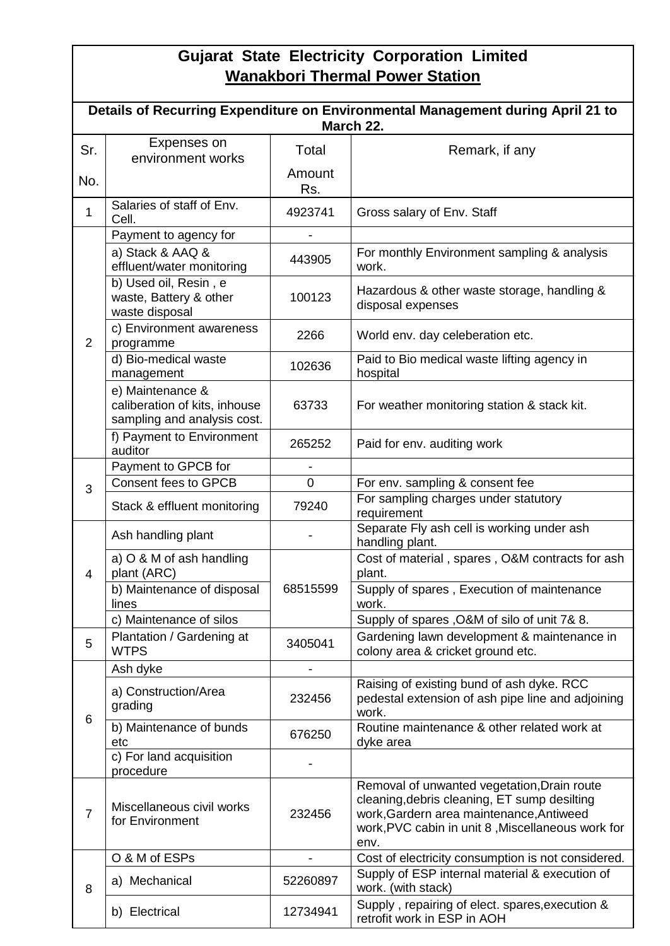# **Gujarat State Electricity Corporation Limited Wanakbori Thermal Power Station**

|                | Details of Recurring Expenditure on Environmental Management during April 21 to<br>March 22. |                |                                                                                                                                                                                                      |  |  |  |  |  |  |  |
|----------------|----------------------------------------------------------------------------------------------|----------------|------------------------------------------------------------------------------------------------------------------------------------------------------------------------------------------------------|--|--|--|--|--|--|--|
| Sr.            | Expenses on<br>environment works                                                             | Total          | Remark, if any                                                                                                                                                                                       |  |  |  |  |  |  |  |
| No.            |                                                                                              | Amount<br>Rs.  |                                                                                                                                                                                                      |  |  |  |  |  |  |  |
| $\mathbf{1}$   | Salaries of staff of Env.<br>Cell.                                                           | 4923741        | Gross salary of Env. Staff                                                                                                                                                                           |  |  |  |  |  |  |  |
|                | Payment to agency for                                                                        |                |                                                                                                                                                                                                      |  |  |  |  |  |  |  |
|                | a) Stack & AAQ &<br>effluent/water monitoring                                                | 443905         | For monthly Environment sampling & analysis<br>work.                                                                                                                                                 |  |  |  |  |  |  |  |
|                | b) Used oil, Resin, e<br>waste, Battery & other<br>waste disposal                            | 100123         | Hazardous & other waste storage, handling &<br>disposal expenses                                                                                                                                     |  |  |  |  |  |  |  |
| $\overline{2}$ | c) Environment awareness<br>programme                                                        | 2266           | World env. day celeberation etc.                                                                                                                                                                     |  |  |  |  |  |  |  |
|                | d) Bio-medical waste<br>management                                                           | 102636         | Paid to Bio medical waste lifting agency in<br>hospital                                                                                                                                              |  |  |  |  |  |  |  |
|                | e) Maintenance &<br>caliberation of kits, inhouse<br>sampling and analysis cost.             | 63733          | For weather monitoring station & stack kit.                                                                                                                                                          |  |  |  |  |  |  |  |
|                | f) Payment to Environment<br>auditor                                                         | 265252         | Paid for env. auditing work                                                                                                                                                                          |  |  |  |  |  |  |  |
|                | Payment to GPCB for                                                                          |                |                                                                                                                                                                                                      |  |  |  |  |  |  |  |
| 3              | <b>Consent fees to GPCB</b>                                                                  | 0              | For env. sampling & consent fee                                                                                                                                                                      |  |  |  |  |  |  |  |
|                | Stack & effluent monitoring                                                                  | 79240          | For sampling charges under statutory<br>requirement                                                                                                                                                  |  |  |  |  |  |  |  |
|                | Ash handling plant                                                                           |                | Separate Fly ash cell is working under ash<br>handling plant.                                                                                                                                        |  |  |  |  |  |  |  |
| 4              | a) O & M of ash handling<br>plant (ARC)                                                      |                | Cost of material, spares, O&M contracts for ash<br>plant.                                                                                                                                            |  |  |  |  |  |  |  |
|                | b) Maintenance of disposal<br>lines                                                          | 68515599       | Supply of spares, Execution of maintenance<br>work.                                                                                                                                                  |  |  |  |  |  |  |  |
|                | c) Maintenance of silos                                                                      |                | Supply of spares, O&M of silo of unit 7& 8.                                                                                                                                                          |  |  |  |  |  |  |  |
| 5              | Plantation / Gardening at<br><b>WTPS</b>                                                     | 3405041        | Gardening lawn development & maintenance in<br>colony area & cricket ground etc.                                                                                                                     |  |  |  |  |  |  |  |
|                | Ash dyke                                                                                     |                |                                                                                                                                                                                                      |  |  |  |  |  |  |  |
| 6              | a) Construction/Area<br>grading                                                              | 232456         | Raising of existing bund of ash dyke. RCC<br>pedestal extension of ash pipe line and adjoining<br>work.                                                                                              |  |  |  |  |  |  |  |
|                | b) Maintenance of bunds<br>etc                                                               | 676250         | Routine maintenance & other related work at<br>dyke area                                                                                                                                             |  |  |  |  |  |  |  |
|                | c) For land acquisition<br>procedure                                                         |                |                                                                                                                                                                                                      |  |  |  |  |  |  |  |
| $\overline{7}$ | Miscellaneous civil works<br>for Environment                                                 | 232456         | Removal of unwanted vegetation, Drain route<br>cleaning, debris cleaning, ET sump desilting<br>work, Gardern area maintenance, Antiweed<br>work, PVC cabin in unit 8, Miscellaneous work for<br>env. |  |  |  |  |  |  |  |
|                | O & M of ESPs                                                                                | $\blacksquare$ | Cost of electricity consumption is not considered.                                                                                                                                                   |  |  |  |  |  |  |  |
| 8              | a) Mechanical                                                                                | 52260897       | Supply of ESP internal material & execution of<br>work. (with stack)                                                                                                                                 |  |  |  |  |  |  |  |
|                | b) Electrical                                                                                | 12734941       | Supply, repairing of elect. spares, execution &<br>retrofit work in ESP in AOH                                                                                                                       |  |  |  |  |  |  |  |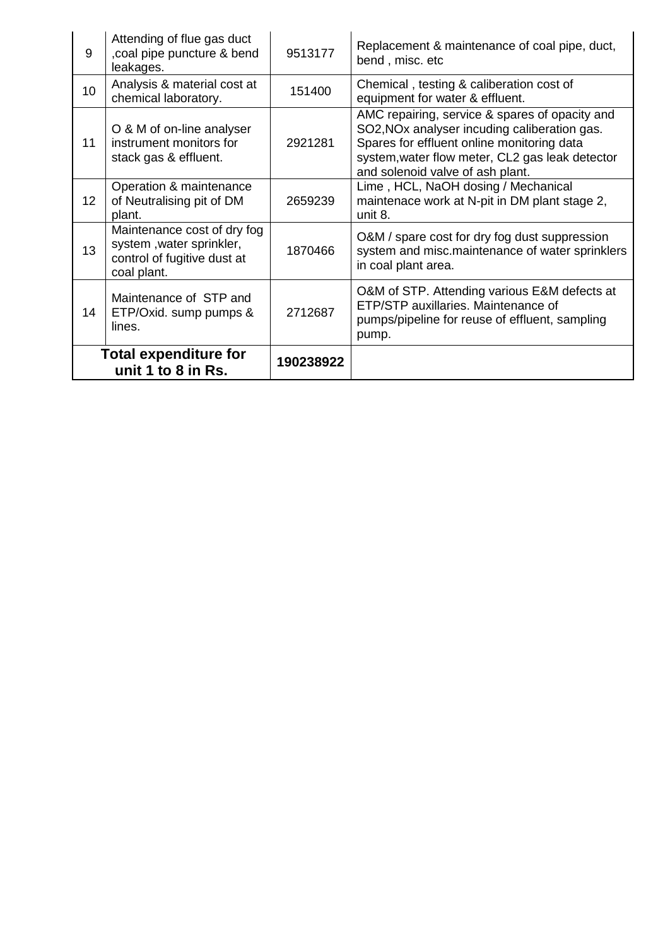|                 | Total expenditure for<br>unit 1 to 8 in Rs.                                                           | 190238922 |                                                                                                                                                                                                                                                 |
|-----------------|-------------------------------------------------------------------------------------------------------|-----------|-------------------------------------------------------------------------------------------------------------------------------------------------------------------------------------------------------------------------------------------------|
| 14              | Maintenance of STP and<br>ETP/Oxid. sump pumps &<br>lines.                                            | 2712687   | O&M of STP. Attending various E&M defects at<br>ETP/STP auxillaries. Maintenance of<br>pumps/pipeline for reuse of effluent, sampling<br>pump.                                                                                                  |
| 13              | Maintenance cost of dry fog<br>system, water sprinkler,<br>control of fugitive dust at<br>coal plant. | 1870466   | O&M / spare cost for dry fog dust suppression<br>system and misc.maintenance of water sprinklers<br>in coal plant area.                                                                                                                         |
| 12 <sup>2</sup> | Operation & maintenance<br>of Neutralising pit of DM<br>plant.                                        | 2659239   | Lime, HCL, NaOH dosing / Mechanical<br>maintenace work at N-pit in DM plant stage 2,<br>unit 8.                                                                                                                                                 |
| 11              | O & M of on-line analyser<br>instrument monitors for<br>stack gas & effluent.                         | 2921281   | AMC repairing, service & spares of opacity and<br>SO2, NO <sub>x</sub> analyser incuding caliberation gas.<br>Spares for effluent online monitoring data<br>system, water flow meter, CL2 gas leak detector<br>and solenoid valve of ash plant. |
| 10 <sup>1</sup> | Analysis & material cost at<br>chemical laboratory.                                                   | 151400    | Chemical, testing & caliberation cost of<br>equipment for water & effluent.                                                                                                                                                                     |
| 9               | Attending of flue gas duct<br>coal pipe puncture & bend<br>leakages.                                  | 9513177   | Replacement & maintenance of coal pipe, duct,<br>bend, misc. etc                                                                                                                                                                                |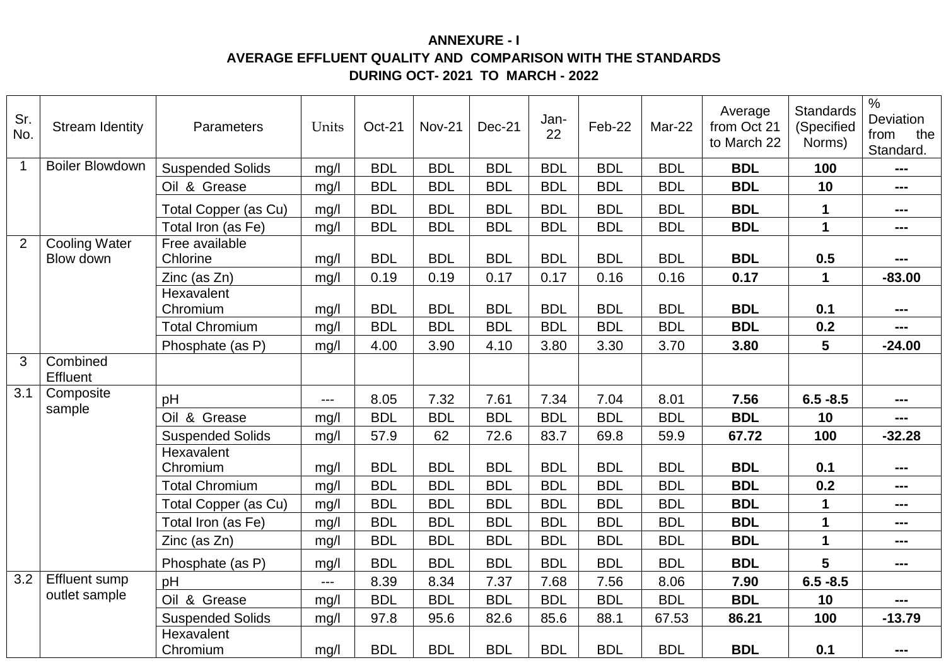## **ANNEXURE - I AVERAGE EFFLUENT QUALITY AND COMPARISON WITH THE STANDARDS DURING OCT- 2021 TO MARCH - 2022**

| Sr.<br>No.   | <b>Stream Identity</b>      | Parameters                  | Units         | <b>Oct-21</b> | <b>Nov-21</b> | <b>Dec-21</b> | Jan-<br>22 | Feb-22     | Mar-22     | Average<br>from Oct 21<br>to March 22 | <b>Standards</b><br>(Specified<br>Norms) | $\frac{0}{0}$<br>Deviation<br>from<br>the<br>Standard. |
|--------------|-----------------------------|-----------------------------|---------------|---------------|---------------|---------------|------------|------------|------------|---------------------------------------|------------------------------------------|--------------------------------------------------------|
| $\mathbf{1}$ | <b>Boiler Blowdown</b>      | <b>Suspended Solids</b>     | mg/l          | <b>BDL</b>    | <b>BDL</b>    | <b>BDL</b>    | <b>BDL</b> | <b>BDL</b> | <b>BDL</b> | <b>BDL</b>                            | 100                                      | ---                                                    |
|              |                             | Oil & Grease                | mg/l          | <b>BDL</b>    | <b>BDL</b>    | <b>BDL</b>    | <b>BDL</b> | <b>BDL</b> | <b>BDL</b> | <b>BDL</b>                            | 10                                       | $\qquad \qquad \text{---}$                             |
|              |                             | <b>Total Copper (as Cu)</b> | mg/           | <b>BDL</b>    | <b>BDL</b>    | <b>BDL</b>    | <b>BDL</b> | <b>BDL</b> | <b>BDL</b> | <b>BDL</b>                            | $\mathbf 1$                              | $\qquad \qquad \blacksquare \blacksquare \blacksquare$ |
|              |                             | Total Iron (as Fe)          | mg/           | <b>BDL</b>    | <b>BDL</b>    | <b>BDL</b>    | <b>BDL</b> | <b>BDL</b> | <b>BDL</b> | <b>BDL</b>                            | $\mathbf{1}$                             | $\qquad \qquad \blacksquare \blacksquare \blacksquare$ |
| 2            | <b>Cooling Water</b>        | Free available              |               |               |               |               |            |            |            |                                       |                                          |                                                        |
|              | Blow down                   | Chlorine                    | mg/l          | <b>BDL</b>    | <b>BDL</b>    | <b>BDL</b>    | <b>BDL</b> | <b>BDL</b> | <b>BDL</b> | <b>BDL</b>                            | 0.5                                      | $- - -$                                                |
|              |                             | Zinc (as Zn)                | mg/           | 0.19          | 0.19          | 0.17          | 0.17       | 0.16       | 0.16       | 0.17                                  | $\mathbf 1$                              | $-83.00$                                               |
|              |                             | Hexavalent<br>Chromium      | mg/l          | <b>BDL</b>    | <b>BDL</b>    | <b>BDL</b>    | <b>BDL</b> | <b>BDL</b> | <b>BDL</b> | <b>BDL</b>                            | 0.1                                      | $\qquad \qquad \blacksquare$                           |
|              |                             | <b>Total Chromium</b>       | mg/l          | <b>BDL</b>    | <b>BDL</b>    | <b>BDL</b>    | <b>BDL</b> | <b>BDL</b> | <b>BDL</b> | <b>BDL</b>                            | 0.2                                      |                                                        |
|              |                             | Phosphate (as P)            | mg/l          | 4.00          | 3.90          | 4.10          | 3.80       | 3.30       | 3.70       | 3.80                                  | 5                                        | $-24.00$                                               |
| 3            | Combined<br><b>Effluent</b> |                             |               |               |               |               |            |            |            |                                       |                                          |                                                        |
| 3.1          | Composite                   | pH                          | $---$         | 8.05          | 7.32          | 7.61          | 7.34       | 7.04       | 8.01       | 7.56                                  | $6.5 - 8.5$                              | $\qquad \qquad \text{---}$                             |
|              | sample                      | Oil & Grease                | mg/l          | <b>BDL</b>    | <b>BDL</b>    | <b>BDL</b>    | <b>BDL</b> | <b>BDL</b> | <b>BDL</b> | <b>BDL</b>                            | 10                                       | ---                                                    |
|              |                             | <b>Suspended Solids</b>     | mg/l          | 57.9          | 62            | 72.6          | 83.7       | 69.8       | 59.9       | 67.72                                 | 100                                      | $-32.28$                                               |
|              |                             | Hexavalent<br>Chromium      | mg/l          | <b>BDL</b>    | <b>BDL</b>    | <b>BDL</b>    | <b>BDL</b> | <b>BDL</b> | <b>BDL</b> | <b>BDL</b>                            | 0.1                                      | ---                                                    |
|              |                             | <b>Total Chromium</b>       | mg/           | <b>BDL</b>    | <b>BDL</b>    | <b>BDL</b>    | <b>BDL</b> | <b>BDL</b> | <b>BDL</b> | <b>BDL</b>                            | 0.2                                      | $\qquad \qquad \blacksquare$                           |
|              |                             | Total Copper (as Cu)        | mg/l          | <b>BDL</b>    | <b>BDL</b>    | <b>BDL</b>    | <b>BDL</b> | <b>BDL</b> | <b>BDL</b> | <b>BDL</b>                            | $\mathbf 1$                              | $\qquad \qquad \blacksquare \blacksquare \blacksquare$ |
|              |                             | Total Iron (as Fe)          | mg/           | <b>BDL</b>    | <b>BDL</b>    | <b>BDL</b>    | <b>BDL</b> | <b>BDL</b> | <b>BDL</b> | <b>BDL</b>                            | $\mathbf{1}$                             | $\qquad \qquad \blacksquare$                           |
|              |                             | Zinc (as Zn)                | mg/l          | <b>BDL</b>    | <b>BDL</b>    | <b>BDL</b>    | <b>BDL</b> | <b>BDL</b> | <b>BDL</b> | <b>BDL</b>                            | $\mathbf{1}$                             | $\qquad \qquad \blacksquare$                           |
|              |                             | Phosphate (as P)            | mg/           | <b>BDL</b>    | <b>BDL</b>    | <b>BDL</b>    | <b>BDL</b> | <b>BDL</b> | <b>BDL</b> | <b>BDL</b>                            | 5                                        | $\qquad \qquad \blacksquare \blacksquare \blacksquare$ |
| 3.2          | <b>Effluent sump</b>        | рH                          | $\sim$ $\sim$ | 8.39          | 8.34          | 7.37          | 7.68       | 7.56       | 8.06       | 7.90                                  | $6.5 - 8.5$                              |                                                        |
|              | outlet sample               | Oil & Grease                | mg/l          | <b>BDL</b>    | <b>BDL</b>    | <b>BDL</b>    | <b>BDL</b> | <b>BDL</b> | <b>BDL</b> | <b>BDL</b>                            | 10                                       | $\frac{1}{2}$                                          |
|              |                             | <b>Suspended Solids</b>     | mg/l          | 97.8          | 95.6          | 82.6          | 85.6       | 88.1       | 67.53      | 86.21                                 | 100                                      | $-13.79$                                               |
|              |                             | Hexavalent<br>Chromium      | mg/l          | <b>BDL</b>    | <b>BDL</b>    | <b>BDL</b>    | <b>BDL</b> | <b>BDL</b> | <b>BDL</b> | <b>BDL</b>                            | 0.1                                      | ---                                                    |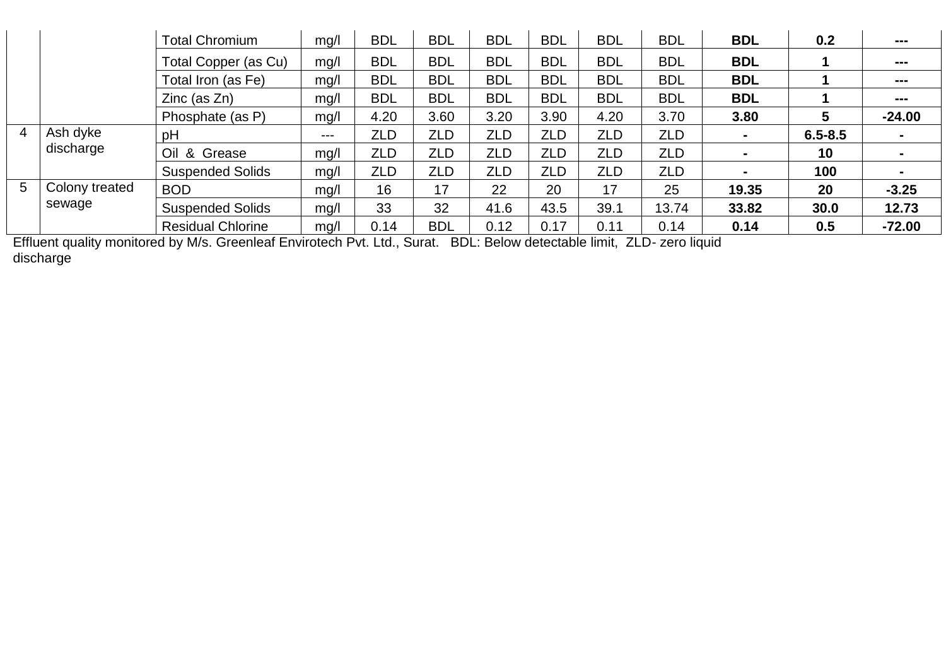|                 |                       | <b>Total Chromium</b>    | mg/l  | <b>BDL</b> | <b>BDL</b> | <b>BDL</b> | <b>BDL</b> | <b>BDL</b> | <b>BDL</b> | <b>BDL</b>     | 0.2         | ---                          |
|-----------------|-----------------------|--------------------------|-------|------------|------------|------------|------------|------------|------------|----------------|-------------|------------------------------|
|                 |                       | Total Copper (as Cu)     | mg/l  | <b>BDL</b> | <b>BDL</b> | <b>BDL</b> | <b>BDL</b> | <b>BDL</b> | <b>BDL</b> | <b>BDL</b>     |             | $\qquad \qquad \blacksquare$ |
|                 |                       | Total Iron (as Fe)       | mg/l  | <b>BDL</b> | <b>BDL</b> | <b>BDL</b> | <b>BDL</b> | <b>BDL</b> | <b>BDL</b> | <b>BDL</b>     |             | ---                          |
|                 |                       | $Zinc$ (as $Zn$ )        | mg/l  | <b>BDL</b> | <b>BDL</b> | <b>BDL</b> | <b>BDL</b> | <b>BDL</b> | <b>BDL</b> | <b>BDL</b>     |             | $\qquad \qquad \blacksquare$ |
|                 |                       | Phosphate (as P)         | mg/l  | 4.20       | 3.60       | 3.20       | 3.90       | 4.20       | 3.70       | 3.80           | 5           | $-24.00$                     |
| $\overline{4}$  | Ash dyke<br>discharge | pH                       | $---$ | ZLD        | <b>ZLD</b> | <b>ZLD</b> | <b>ZLD</b> | <b>ZLD</b> | <b>ZLD</b> | $\blacksquare$ | $6.5 - 8.5$ |                              |
|                 |                       | Oil & Grease             | mq/l  | <b>ZLD</b> | <b>ZLD</b> | <b>ZLD</b> | <b>ZLD</b> | ZLD        | <b>ZLD</b> | $\blacksquare$ | 10          |                              |
|                 |                       | <b>Suspended Solids</b>  | mg/l  | <b>ZLD</b> | <b>ZLD</b> | <b>ZLD</b> | <b>ZLD</b> | ZLD        | ZLD        | $\blacksquare$ | 100         |                              |
| $5\overline{)}$ | Colony treated        | <b>BOD</b>               | mq/l  | 16         | 17         | 22         | 20         | 17         | 25         | 19.35          | 20          | $-3.25$                      |
|                 | sewage                | <b>Suspended Solids</b>  | mg/l  | 33         | 32         | 41.6       | 43.5       | 39.1       | 13.74      | 33.82          | 30.0        | 12.73                        |
|                 |                       | <b>Residual Chlorine</b> | mg/l  | 0.14       | <b>BDL</b> | 0.12       | 0.17       | 0.11       | 0.14       | 0.14           | 0.5         | $-72.00$                     |

Effluent quality monitored by M/s. Greenleaf Envirotech Pvt. Ltd., Surat. BDL: Below detectable limit, ZLD- zero liquid discharge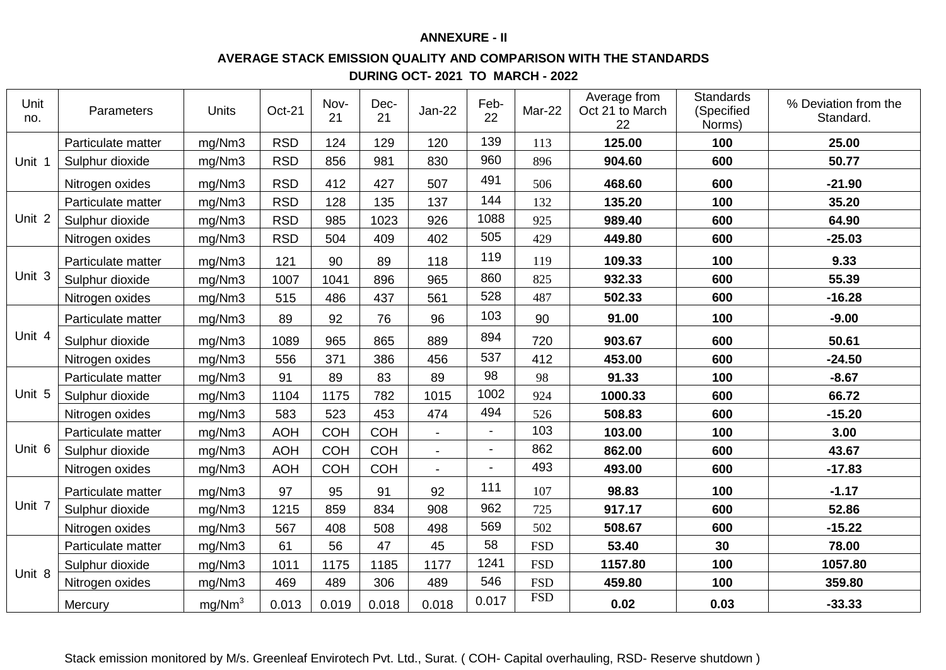### **ANNEXURE - II**

#### **AVERAGE STACK EMISSION QUALITY AND COMPARISON WITH THE STANDARDS**

**DURING OCT- 2021 TO MARCH - 2022**

| Unit<br>no. | Parameters         | Units              | Oct-21     | Nov-<br>21 | Dec-<br>21 | $Jan-22$       | Feb-<br>22     | Mar-22     | Average from<br>Oct 21 to March<br>22 | <b>Standards</b><br>(Specified<br>Norms)                                                                                                                      | % Deviation from the<br>Standard. |
|-------------|--------------------|--------------------|------------|------------|------------|----------------|----------------|------------|---------------------------------------|---------------------------------------------------------------------------------------------------------------------------------------------------------------|-----------------------------------|
|             | Particulate matter | mg/Nm3             | <b>RSD</b> | 124        | 129        | 120            | 139            | 113        | 125.00                                | 100                                                                                                                                                           | 25.00                             |
| Unit 1      | Sulphur dioxide    | mg/Nm3             | <b>RSD</b> | 856        | 981        | 830            | 960            | 896        | 904.60                                | 600                                                                                                                                                           | 50.77                             |
|             | Nitrogen oxides    | mg/Nm3             | <b>RSD</b> | 412        | 427        | 507            | 491            | 506        | 468.60                                | 600<br>100<br>600<br>600<br>100<br>600<br>600<br>100<br>600<br>600<br>100<br>600<br>600<br>100<br>600<br>600<br>100<br>600<br>600<br>30<br>100<br>100<br>0.03 | $-21.90$                          |
|             | Particulate matter | mg/Nm3             | <b>RSD</b> | 128        | 135        | 137            | 144            | 132        | 135.20                                |                                                                                                                                                               | 35.20                             |
| Unit 2      | Sulphur dioxide    | mg/Nm3             | <b>RSD</b> | 985        | 1023       | 926            | 1088           | 925        | 989.40                                |                                                                                                                                                               | 64.90                             |
|             | Nitrogen oxides    | mg/Nm3             | <b>RSD</b> | 504        | 409        | 402            | 505            | 429        | 449.80                                |                                                                                                                                                               | $-25.03$                          |
|             | Particulate matter | mg/Nm3             | 121        | 90         | 89         | 118            | 119            | 119        | 109.33                                |                                                                                                                                                               | 9.33                              |
| Unit 3      | Sulphur dioxide    | mg/Nm3             | 1007       | 1041       | 896        | 965            | 860            | 825        | 932.33                                |                                                                                                                                                               | 55.39                             |
|             | Nitrogen oxides    | mg/Nm3             | 515        | 486        | 437        | 561            | 528            | 487        | 502.33                                |                                                                                                                                                               | $-16.28$                          |
|             | Particulate matter | mg/Nm3             | 89         | 92         | 76         | 96             | 103            | 90         | 91.00                                 |                                                                                                                                                               | $-9.00$                           |
| Unit 4      | Sulphur dioxide    | mg/Nm3             | 1089       | 965        | 865        | 889            | 894            | 720        | 903.67                                |                                                                                                                                                               | 50.61                             |
|             | Nitrogen oxides    | mg/Nm3             | 556        | 371        | 386        | 456            | 537            | 412        | 453.00                                | $-24.50$<br>$-8.67$<br>66.72<br>$-15.20$<br>3.00<br>43.67<br>$-17.83$<br>$-1.17$<br>52.86<br>$-15.22$<br>78.00<br>1057.80<br>359.80                           |                                   |
|             | Particulate matter | mg/Nm3             | 91         | 89         | 83         | 89             | 98             | 98         | 91.33                                 |                                                                                                                                                               |                                   |
| Unit 5      | Sulphur dioxide    | mg/Nm3             | 1104       | 1175       | 782        | 1015           | 1002           | 924        | 1000.33                               |                                                                                                                                                               |                                   |
|             | Nitrogen oxides    | mg/Nm3             | 583        | 523        | 453        | 474            | 494            | 526        | 508.83                                |                                                                                                                                                               |                                   |
|             | Particulate matter | mg/Nm3             | <b>AOH</b> | <b>COH</b> | <b>COH</b> |                | $\blacksquare$ | 103        | 103.00                                |                                                                                                                                                               |                                   |
| Unit 6      | Sulphur dioxide    | mg/Nm3             | <b>AOH</b> | <b>COH</b> | <b>COH</b> | $\blacksquare$ | $\blacksquare$ | 862        | 862.00                                |                                                                                                                                                               |                                   |
|             | Nitrogen oxides    | mg/Nm3             | <b>AOH</b> | <b>COH</b> | <b>COH</b> | $\blacksquare$ | $\overline{a}$ | 493        | 493.00                                |                                                                                                                                                               |                                   |
|             | Particulate matter | mg/Nm3             | 97         | 95         | 91         | 92             | 111            | 107        | 98.83                                 |                                                                                                                                                               |                                   |
| Unit 7      | Sulphur dioxide    | mg/Nm3             | 1215       | 859        | 834        | 908            | 962            | 725        | 917.17                                |                                                                                                                                                               |                                   |
|             | Nitrogen oxides    | mg/Nm3             | 567        | 408        | 508        | 498            | 569            | 502        | 508.67                                |                                                                                                                                                               |                                   |
|             | Particulate matter | mg/Nm3             | 61         | 56         | 47         | 45             | 58             | <b>FSD</b> | 53.40                                 |                                                                                                                                                               |                                   |
|             | Sulphur dioxide    | mg/Nm3             | 1011       | 1175       | 1185       | 1177           | 1241           | <b>FSD</b> | 1157.80                               |                                                                                                                                                               |                                   |
| Unit 8      | Nitrogen oxides    | mg/Nm3             | 469        | 489        | 306        | 489            | 546            | <b>FSD</b> | 459.80                                |                                                                                                                                                               |                                   |
|             | Mercury            | mq/Nm <sup>3</sup> | 0.013      | 0.019      | 0.018      | 0.018          | 0.017          | <b>FSD</b> | 0.02                                  |                                                                                                                                                               | $-33.33$                          |